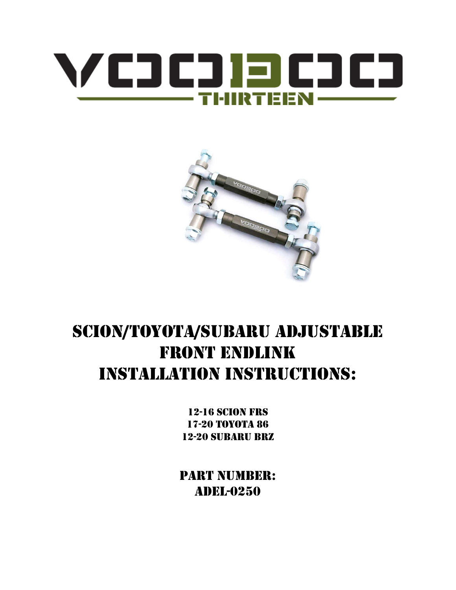



# SCION/TOYOTA/SUBARU ADJUSTABLE **FRONT ENDLINK INSTALLATION INSTRUCTIONS:**

**12-16 SCION FRS** 17-20 ТОҮОТА 86 **12-20 SUBARU BRZ** 

**PART NUMBER: ADEL-0250**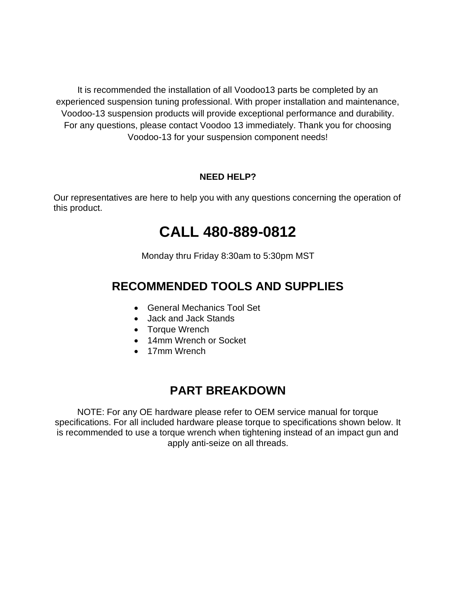It is recommended the installation of all Voodoo13 parts be completed by an experienced suspension tuning professional. With proper installation and maintenance, Voodoo-13 suspension products will provide exceptional performance and durability. For any questions, please contact Voodoo 13 immediately. Thank you for choosing Voodoo-13 for your suspension component needs!

#### **NEED HELP?**

Our representatives are here to help you with any questions concerning the operation of this product.

# **CALL 480-889-0812**

Monday thru Friday 8:30am to 5:30pm MST

#### **RECOMMENDED TOOLS AND SUPPLIES**

- General Mechanics Tool Set
- Jack and Jack Stands
- Torque Wrench
- 14mm Wrench or Socket
- 17mm Wrench

#### **PART BREAKDOWN**

NOTE: For any OE hardware please refer to OEM service manual for torque specifications. For all included hardware please torque to specifications shown below. It is recommended to use a torque wrench when tightening instead of an impact gun and apply anti-seize on all threads.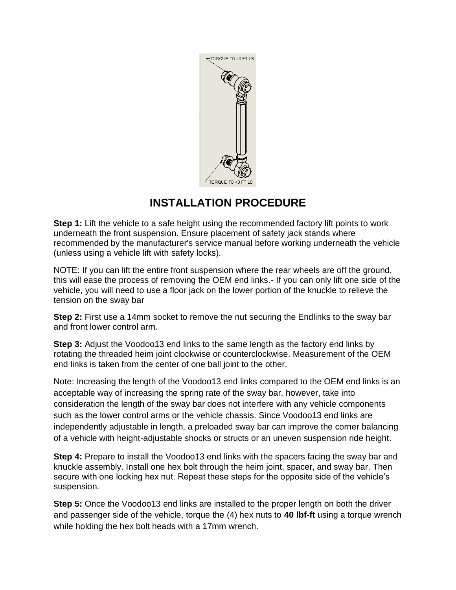

### **INSTALLATION PROCEDURE**

**Step 1:** Lift the vehicle to a safe height using the recommended factory lift points to work underneath the front suspension. Ensure placement of safety jack stands where recommended by the manufacturer's service manual before working underneath the vehicle (unless using a vehicle lift with safety locks).

NOTE: If you can lift the entire front suspension where the rear wheels are off the ground, this will ease the process of removing the OEM end links.- If you can only lift one side of the vehicle, you will need to use a floor jack on the lower portion of the knuckle to relieve the tension on the sway bar

**Step 2:** First use a 14mm socket to remove the nut securing the Endlinks to the sway bar and front lower control arm.

**Step 3:** Adjust the Voodoo13 end links to the same length as the factory end links by rotating the threaded heim joint clockwise or counterclockwise. Measurement of the OEM end links is taken from the center of one ball joint to the other.

Note: Increasing the length of the Voodoo13 end links compared to the OEM end links is an acceptable way of increasing the spring rate of the sway bar, however, take into consideration the length of the sway bar does not interfere with any vehicle components such as the lower control arms or the vehicle chassis. Since Voodoo13 end links are independently adjustable in length, a preloaded sway bar can improve the corner balancing of a vehicle with height-adjustable shocks or structs or an uneven suspension ride height.

**Step 4:** Prepare to install the Voodoo13 end links with the spacers facing the sway bar and knuckle assembly. Install one hex bolt through the heim joint, spacer, and sway bar. Then secure with one locking hex nut. Repeat these steps for the opposite side of the vehicle's suspension.

**Step 5:** Once the Voodoo13 end links are installed to the proper length on both the driver and passenger side of the vehicle, torque the (4) hex nuts to **40 lbf-ft** using a torque wrench while holding the hex bolt heads with a 17mm wrench.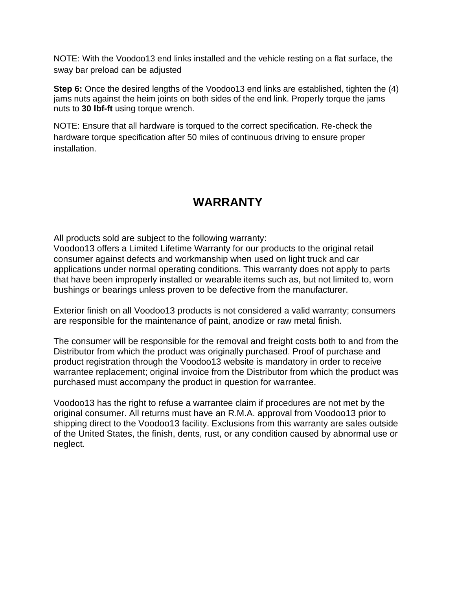NOTE: With the Voodoo13 end links installed and the vehicle resting on a flat surface, the sway bar preload can be adjusted

**Step 6:** Once the desired lengths of the Voodoo13 end links are established, tighten the (4) jams nuts against the heim joints on both sides of the end link. Properly torque the jams nuts to **30 lbf-ft** using torque wrench.

NOTE: Ensure that all hardware is torqued to the correct specification. Re-check the hardware torque specification after 50 miles of continuous driving to ensure proper installation.

## **WARRANTY**

All products sold are subject to the following warranty:

Voodoo13 offers a Limited Lifetime Warranty for our products to the original retail consumer against defects and workmanship when used on light truck and car applications under normal operating conditions. This warranty does not apply to parts that have been improperly installed or wearable items such as, but not limited to, worn bushings or bearings unless proven to be defective from the manufacturer.

Exterior finish on all Voodoo13 products is not considered a valid warranty; consumers are responsible for the maintenance of paint, anodize or raw metal finish.

The consumer will be responsible for the removal and freight costs both to and from the Distributor from which the product was originally purchased. Proof of purchase and product registration through the Voodoo13 website is mandatory in order to receive warrantee replacement; original invoice from the Distributor from which the product was purchased must accompany the product in question for warrantee.

Voodoo13 has the right to refuse a warrantee claim if procedures are not met by the original consumer. All returns must have an R.M.A. approval from Voodoo13 prior to shipping direct to the Voodoo13 facility. Exclusions from this warranty are sales outside of the United States, the finish, dents, rust, or any condition caused by abnormal use or neglect.